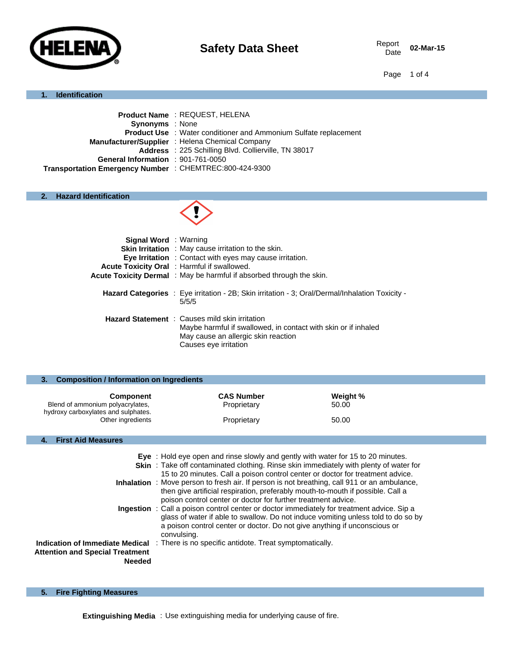

02-Mar-15

Page 1 of 4

#### **1. Identification**

|                                                         | <b>Product Name: REQUEST, HELENA</b>                                    |
|---------------------------------------------------------|-------------------------------------------------------------------------|
| <b>Synonyms</b> : None                                  |                                                                         |
|                                                         | <b>Product Use : Water conditioner and Ammonium Sulfate replacement</b> |
|                                                         | Manufacturer/Supplier : Helena Chemical Company                         |
|                                                         | Address : 225 Schilling Blvd. Collierville, TN 38017                    |
| General Information : 901-761-0050                      |                                                                         |
| Transportation Emergency Number : CHEMTREC:800-424-9300 |                                                                         |

# **2. Hazard Identification**



| <b>Signal Word</b> : Warning | <b>Skin Irritation</b> : May cause irritation to the skin.<br>Eye Irritation : Contact with eyes may cause irritation.<br><b>Acute Toxicity Oral</b> : Harmful if swallowed.<br><b>Acute Toxicity Dermal</b> : May be harmful if absorbed through the skin. |
|------------------------------|-------------------------------------------------------------------------------------------------------------------------------------------------------------------------------------------------------------------------------------------------------------|
|                              | Hazard Categories : Eye irritation - 2B; Skin irritation - 3; Oral/Dermal/Inhalation Toxicity -<br>5/5/5                                                                                                                                                    |
|                              | <b>Hazard Statement</b> : Causes mild skin irritation<br>Maybe harmful if swallowed, in contact with skin or if inhaled<br>May cause an allergic skin reaction<br>Causes eye irritation                                                                     |

| <b>Composition / Information on Ingredients</b> |          |  |
|-------------------------------------------------|----------|--|
| <b>CAS Number</b>                               | Weight % |  |
| Proprietary                                     | 50.00    |  |
| Proprietary                                     | 50.00    |  |
|                                                 |          |  |

# **4. First Aid Measures**

|                                                         | Eye: Hold eye open and rinse slowly and gently with water for 15 to 20 minutes.<br>Skin: Take off contaminated clothing. Rinse skin immediately with plenty of water for<br>15 to 20 minutes. Call a poison control center or doctor for treatment advice.<br><b>Inhalation</b> : Move person to fresh air. If person is not breathing, call 911 or an ambulance, |
|---------------------------------------------------------|-------------------------------------------------------------------------------------------------------------------------------------------------------------------------------------------------------------------------------------------------------------------------------------------------------------------------------------------------------------------|
|                                                         | then give artificial respiration, preferably mouth-to-mouth if possible. Call a<br>poison control center or doctor for further treatment advice.                                                                                                                                                                                                                  |
|                                                         | <b>Ingestion</b> : Call a poison control center or doctor immediately for treatment advice. Sip a<br>glass of water if able to swallow. Do not induce vomiting unless told to do so by<br>a poison control center or doctor. Do not give anything if unconscious or<br>convulsing.                                                                                |
| <b>Attention and Special Treatment</b><br><b>Needed</b> | Indication of Immediate Medical : There is no specific antidote. Treat symptomatically.                                                                                                                                                                                                                                                                           |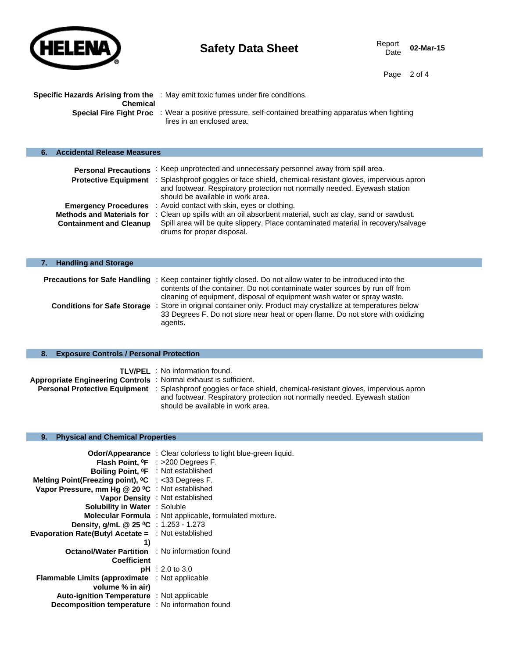

Page 2 of 4

|          | <b>Specific Hazards Arising from the</b> : May emit toxic fumes under fire conditions.                      |
|----------|-------------------------------------------------------------------------------------------------------------|
| Chemical |                                                                                                             |
|          | <b>Special Fire Fight Proc</b> : Wear a positive pressure, self-contained breathing apparatus when fighting |
|          | fires in an enclosed area.                                                                                  |

| <b>Accidental Release Measures</b> |                                                                                                                                                                              |
|------------------------------------|------------------------------------------------------------------------------------------------------------------------------------------------------------------------------|
| <b>Personal Precautions</b>        | : Keep unprotected and unnecessary personnel away from spill area.<br>Protective Equipment : Splashproof goggles or face shield, chemical-resistant gloves, impervious apron |
|                                    | and footwear. Respiratory protection not normally needed. Eyewash station<br>should be available in work area.                                                               |
| <b>Emergency Procedures</b>        | : Avoid contact with skin, eyes or clothing.                                                                                                                                 |
| <b>Methods and Materials for</b>   | : Clean up spills with an oil absorbent material, such as clay, sand or sawdust.                                                                                             |
| <b>Containment and Cleanup</b>     | Spill area will be quite slippery. Place contaminated material in recovery/salvage<br>drums for proper disposal.                                                             |

| 7. Handling and Storage            |                                                                                                                    |  |
|------------------------------------|--------------------------------------------------------------------------------------------------------------------|--|
|                                    |                                                                                                                    |  |
|                                    | <b>Precautions for Safe Handling</b> : Keep container tightly closed. Do not allow water to be introduced into the |  |
|                                    | contents of the container. Do not contaminate water sources by run off from                                        |  |
|                                    | cleaning of equipment, disposal of equipment wash water or spray waste.                                            |  |
| <b>Conditions for Safe Storage</b> | Store in original container only. Product may crystallize at temperatures below                                    |  |
|                                    | 33 Degrees F. Do not store near heat or open flame. Do not store with oxidizing                                    |  |
|                                    | agents.                                                                                                            |  |

|  |  |  |  | 8. Exposure Controls / Personal Protection |
|--|--|--|--|--------------------------------------------|
|--|--|--|--|--------------------------------------------|

|                                                                 | <b>TLV/PEL</b> : No information found.                                                                                 |
|-----------------------------------------------------------------|------------------------------------------------------------------------------------------------------------------------|
| Appropriate Engineering Controls: Normal exhaust is sufficient. |                                                                                                                        |
|                                                                 | <b>Personal Protective Equipment</b> : Splashproof goggles or face shield, chemical-resistant gloves, impervious apron |
|                                                                 | and footwear. Respiratory protection not normally needed. Eyewash station                                              |
|                                                                 | should be available in work area.                                                                                      |

# **9. Physical and Chemical Properties**

| <b>Odor/Appearance</b> : Clear colorless to light blue-green liquid.     |
|--------------------------------------------------------------------------|
| <b>Flash Point, <math>{}^{\circ}\text{F}</math> : &gt;200 Degrees F.</b> |
| Boiling Point, <sup>o</sup> F : Not established                          |
| Melting Point(Freezing point), <sup>o</sup> C : <33 Degrees F.           |
| Vapor Pressure, mm Hg @ 20 °C : Not established                          |
| Vapor Density : Not established                                          |
| <b>Solubility in Water : Soluble</b>                                     |
| <b>Molecular Formula</b> : Not applicable, formulated mixture.           |
| Density, g/mL @ 25 °C : 1.253 - 1.273                                    |
| <b>Evaporation Rate(Butyl Acetate = : Not established</b>                |
|                                                                          |
| <b>Octanol/Water Partition</b> : No information found                    |
|                                                                          |
| <b>pH</b> : 2.0 to 3.0                                                   |
| : Not applicable<br><b>Flammable Limits (approximate</b>                 |
|                                                                          |
| <b>Auto-ignition Temperature</b> : Not applicable                        |
| Decomposition temperature : No information found                         |
|                                                                          |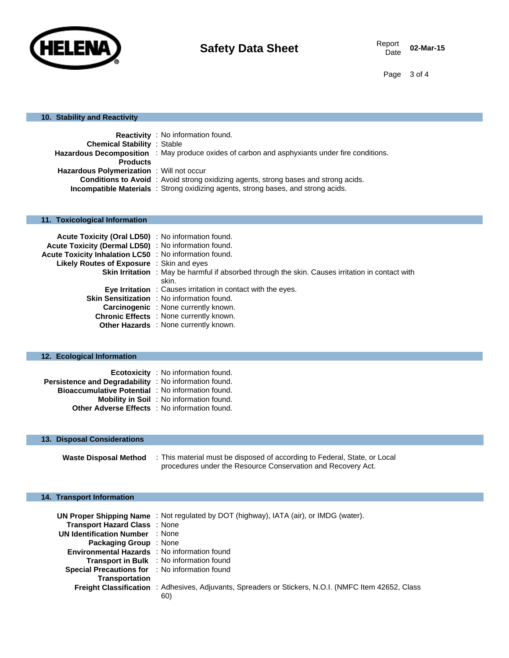

02-Mar-15

Page 3 of 4

### **10. Stability and Reactivity**

|                                                  | <b>Reactivity</b> : No information found.                                                            |
|--------------------------------------------------|------------------------------------------------------------------------------------------------------|
| <b>Chemical Stability : Stable</b>               |                                                                                                      |
|                                                  | <b>Hazardous Decomposition</b> : May produce oxides of carbon and asphyxiants under fire conditions. |
| <b>Products</b>                                  |                                                                                                      |
| <b>Hazardous Polymerization</b> : Will not occur |                                                                                                      |
|                                                  | <b>Conditions to Avoid</b> : Avoid strong oxidizing agents, strong bases and strong acids.           |
|                                                  | <b>Incompatible Materials</b> : Strong oxidizing agents, strong bases, and strong acids.             |

### **11. Toxicological Information**

| Acute Toxicity (Oral LD50) : No information found.     |                                                                                                         |
|--------------------------------------------------------|---------------------------------------------------------------------------------------------------------|
| Acute Toxicity (Dermal LD50) : No information found.   |                                                                                                         |
| Acute Toxicity Inhalation LC50 : No information found. |                                                                                                         |
| Likely Routes of Exposure : Skin and eyes              |                                                                                                         |
|                                                        | <b>Skin Irritation</b> : May be harmful if absorbed through the skin. Causes irritation in contact with |
|                                                        | skin.                                                                                                   |
|                                                        | <b>Eye Irritation</b> : Causes irritation in contact with the eyes.                                     |
|                                                        | Skin Sensitization : No information found.                                                              |
|                                                        | <b>Carcinogenic</b> : None currently known.                                                             |
|                                                        | Chronic Effects : None currently known.                                                                 |
|                                                        | <b>Other Hazards</b> : None currently known.                                                            |

# **12. Ecological Information**

|                                                          | Ecotoxicity : No information found.             |
|----------------------------------------------------------|-------------------------------------------------|
| Persistence and Degradability : No information found.    |                                                 |
| <b>Bioaccumulative Potential</b> : No information found. |                                                 |
|                                                          | <b>Mobility in Soil</b> : No information found. |
| <b>Other Adverse Effects</b> : No information found.     |                                                 |

### **13. Disposal Considerations**

**Waste Disposal Method** : This material must be disposed of according to Federal, State, or Local procedures under the Resource Conservation and Recovery Act.

### **14. Transport Information**

|                                                     | <b>UN Proper Shipping Name</b> : Not regulated by DOT (highway), IATA (air), or IMDG (water).                      |
|-----------------------------------------------------|--------------------------------------------------------------------------------------------------------------------|
| <b>Transport Hazard Class : None</b>                |                                                                                                                    |
| <b>UN Identification Number : None</b>              |                                                                                                                    |
| <b>Packaging Group</b> : None                       |                                                                                                                    |
| <b>Environmental Hazards</b> : No information found |                                                                                                                    |
|                                                     | <b>Transport in Bulk</b> : No information found                                                                    |
| Special Precautions for : No information found      |                                                                                                                    |
| <b>Transportation</b>                               |                                                                                                                    |
|                                                     | <b>Freight Classification</b> : Adhesives, Adjuvants, Spreaders or Stickers, N.O.I. (NMFC Item 42652, Class<br>60) |